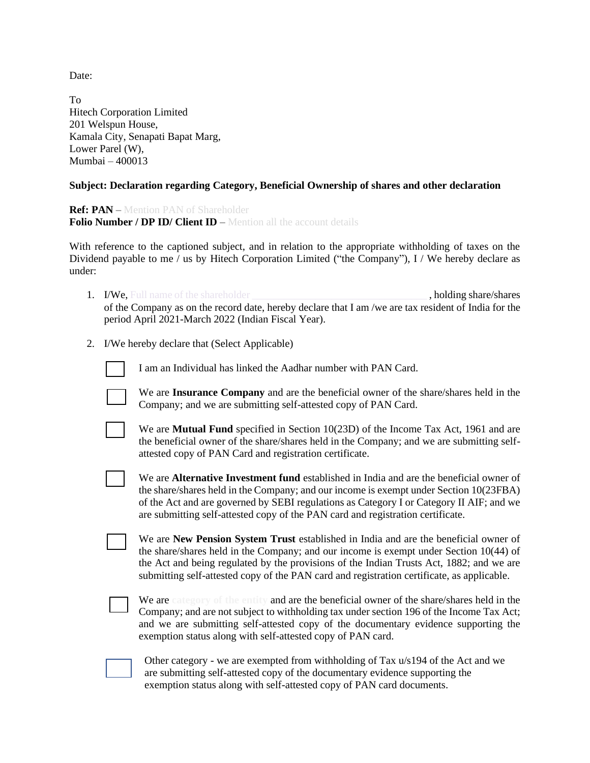Date:

To Hitech Corporation Limited 201 Welspun House, Kamala City, Senapati Bapat Marg, Lower Parel (W), Mumbai – 400013

## **Subject: Declaration regarding Category, Beneficial Ownership of shares and other declaration**

**Ref: PAN** – Mention PAN of Shareholder **Folio Number / DP ID/ Client ID** – Mention all the account details

With reference to the captioned subject, and in relation to the appropriate withholding of taxes on the Dividend payable to me / us by Hitech Corporation Limited ("the Company"), I / We hereby declare as under:

- 1. I/We, Full name of the shareholder **the shareholder** , holding share/shares of the Company as on the record date, hereby declare that I am /we are tax resident of India for the period April 2021-March 2022 (Indian Fiscal Year).
- 2. I/We hereby declare that (Select Applicable)

I am an Individual has linked the Aadhar number with PAN Card.



We are **Insurance Company** and are the beneficial owner of the share/shares held in the Company; and we are submitting self-attested copy of PAN Card.

We are **Mutual Fund** specified in Section 10(23D) of the Income Tax Act, 1961 and are the beneficial owner of the share/shares held in the Company; and we are submitting selfattested copy of PAN Card and registration certificate.

We are **Alternative Investment fund** established in India and are the beneficial owner of the share/shares held in the Company; and our income is exempt under Section 10(23FBA) of the Act and are governed by SEBI regulations as Category I or Category II AIF; and we are submitting self-attested copy of the PAN card and registration certificate.

We are **New Pension System Trust** established in India and are the beneficial owner of the share/shares held in the Company; and our income is exempt under Section 10(44) of the Act and being regulated by the provisions of the Indian Trusts Act, 1882; and we are submitting self-attested copy of the PAN card and registration certificate, as applicable.

We are **category of the entity** and are the beneficial owner of the share/shares held in the Company; and are not subject to withholding tax under section 196 of the Income Tax Act; and we are submitting self-attested copy of the documentary evidence supporting the exemption status along with self-attested copy of PAN card.